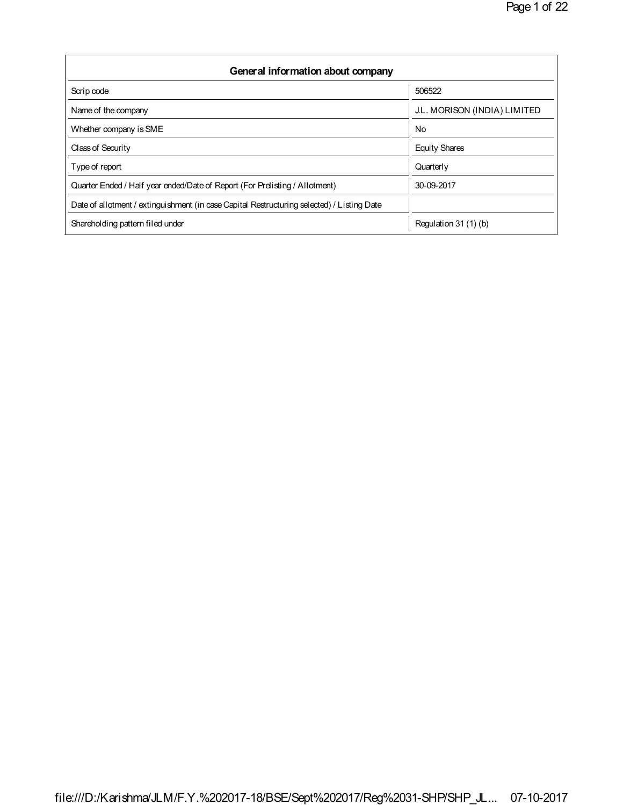| General information about company                                                          |                              |  |  |  |  |  |  |  |
|--------------------------------------------------------------------------------------------|------------------------------|--|--|--|--|--|--|--|
| Scrip code                                                                                 | 506522                       |  |  |  |  |  |  |  |
| Name of the company                                                                        | J.L. MORISON (INDIA) LIMITED |  |  |  |  |  |  |  |
| Whether company is SME                                                                     | <b>No</b>                    |  |  |  |  |  |  |  |
| Class of Security                                                                          | <b>Equity Shares</b>         |  |  |  |  |  |  |  |
| Type of report                                                                             | Quarterly                    |  |  |  |  |  |  |  |
| Quarter Ended / Half year ended/Date of Report (For Prelisting / Allotment)                | 30-09-2017                   |  |  |  |  |  |  |  |
| Date of allotment / extinguishment (in case Capital Restructuring selected) / Listing Date |                              |  |  |  |  |  |  |  |
| Shareholding pattern filed under                                                           | Regulation 31 (1) (b)        |  |  |  |  |  |  |  |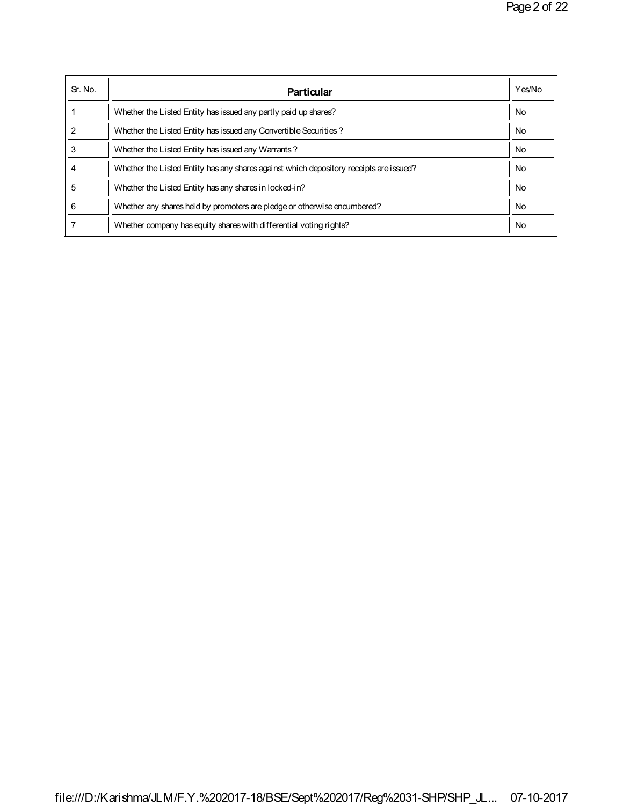| Sr. No. | Particular                                                                             | Yes/No    |
|---------|----------------------------------------------------------------------------------------|-----------|
|         | Whether the Listed Entity has issued any partly paid up shares?                        | No        |
| 2       | Whether the Listed Entity has issued any Convertible Securities?                       | <b>No</b> |
| 3       | Whether the Listed Entity has issued any Warrants?                                     | <b>No</b> |
| 4       | Whether the Listed Entity has any shares against which depository receipts are issued? | No        |
| 5       | Whether the Listed Entity has any shares in locked-in?                                 | <b>No</b> |
| 6       | Whether any shares held by promoters are pledge or otherwise encumbered?               | <b>No</b> |
|         | Whether company has equity shares with differential voting rights?                     | No        |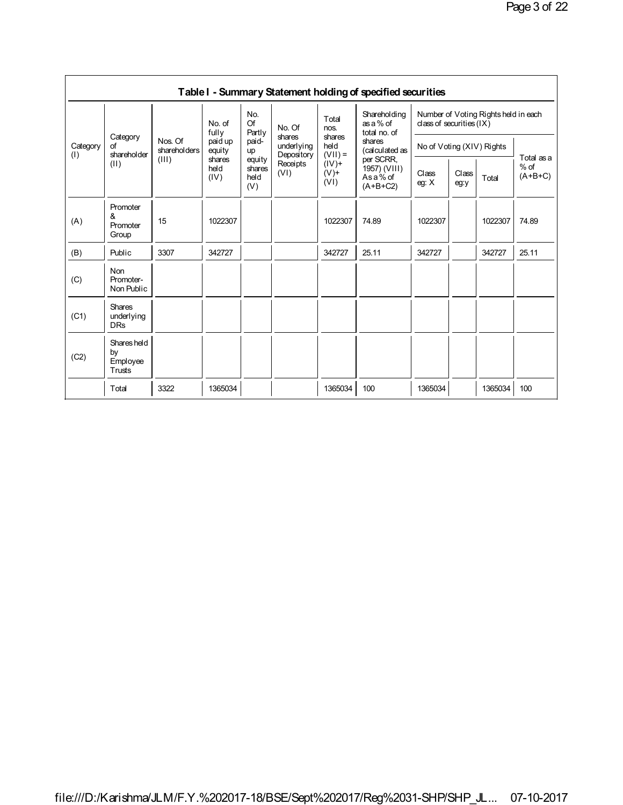|          |                                         |                         |                                                                                                                                                                               |                                    |                                |                                 | Table I - Summary Statement holding of specified securities           |                                                                                                 |  |         |       |
|----------|-----------------------------------------|-------------------------|-------------------------------------------------------------------------------------------------------------------------------------------------------------------------------|------------------------------------|--------------------------------|---------------------------------|-----------------------------------------------------------------------|-------------------------------------------------------------------------------------------------|--|---------|-------|
| Category | Category<br>Ωf                          | Nos. Of<br>shareholders | No. of<br>fully<br>paid up<br>equity                                                                                                                                          | No.<br>Of<br>Partly<br>paid-<br>up | No. Of<br>shares<br>underlying | Total<br>nos.<br>shares<br>held | Shareholding<br>as a % of<br>total no. of<br>shares<br>(calculated as | Number of Voting Rights held in each<br>class of securities $(IX)$<br>No of Voting (XIV) Rights |  |         |       |
| (1)      | shareholder<br>(II)                     | (III)                   | $(VII) =$<br>Depository<br>per SCRR.<br>shares<br>equity<br>$(IV)$ +<br>Receipts<br>held<br>shares<br>(VI)<br>$(V)$ +<br>Asa% of<br>(IV)<br>held<br>(VI)<br>$(A+B+C2)$<br>(V) | 1957) (VIII)                       | Class<br>eq: X                 | Class<br>eg:y                   | Total                                                                 | Total as a<br>$%$ of<br>$(A+B+C)$                                                               |  |         |       |
| (A)      | Promoter<br>&<br>Promoter<br>Group      | 15                      | 1022307                                                                                                                                                                       |                                    |                                | 1022307                         | 74.89                                                                 | 1022307                                                                                         |  | 1022307 | 74.89 |
| (B)      | Public                                  | 3307                    | 342727                                                                                                                                                                        |                                    |                                | 342727                          | 25.11                                                                 | 342727                                                                                          |  | 342727  | 25.11 |
| (C)      | Non<br>Promoter-<br>Non Public          |                         |                                                                                                                                                                               |                                    |                                |                                 |                                                                       |                                                                                                 |  |         |       |
| (C1)     | Shares<br>underlying<br><b>DRs</b>      |                         |                                                                                                                                                                               |                                    |                                |                                 |                                                                       |                                                                                                 |  |         |       |
| (C2)     | Shares held<br>by<br>Employee<br>Trusts |                         |                                                                                                                                                                               |                                    |                                |                                 |                                                                       |                                                                                                 |  |         |       |
|          | Total                                   | 3322                    | 1365034                                                                                                                                                                       |                                    |                                | 1365034                         | 100                                                                   | 1365034                                                                                         |  | 1365034 | 100   |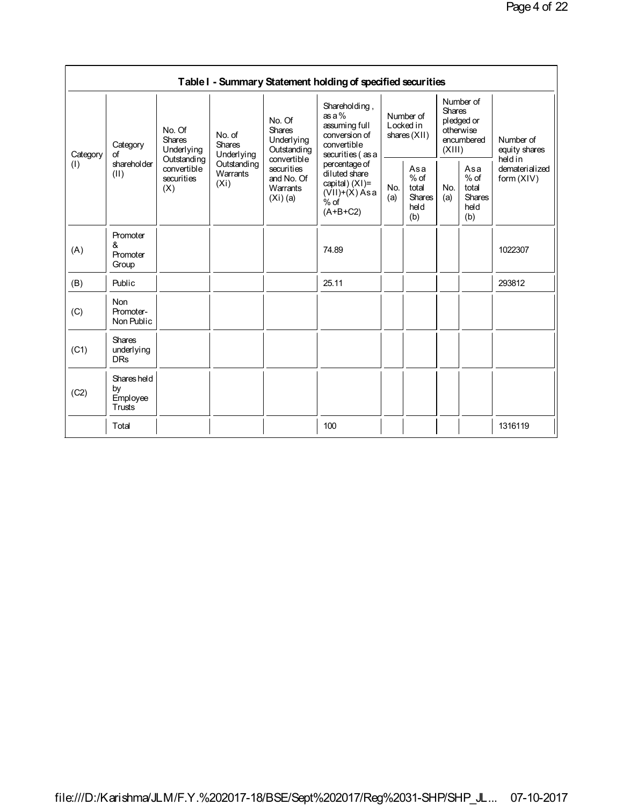|                 | Table I - Summary Statement holding of specified securities |                                                                                   |                                                                                |                                                                                                                    |                                                                                                 |                                          |                                                 |                                                                               |                                                        |                                      |  |  |
|-----------------|-------------------------------------------------------------|-----------------------------------------------------------------------------------|--------------------------------------------------------------------------------|--------------------------------------------------------------------------------------------------------------------|-------------------------------------------------------------------------------------------------|------------------------------------------|-------------------------------------------------|-------------------------------------------------------------------------------|--------------------------------------------------------|--------------------------------------|--|--|
| Category<br>(1) | Category<br>of<br>shareholder<br>(II)                       | No. Of<br>Shares<br>Underlying<br>Outstanding<br>convertible<br>securities<br>(X) | No. of<br>Shares<br>Underlying<br>Outstanding<br>Warrants<br>(X <sub>i</sub> ) | No. Of<br>Shares<br>Underlying<br>Outstanding<br>convertible<br>securities<br>and No. Of<br>Warrants<br>$(Xi)$ (a) | Shareholding,<br>$as a \%$<br>assuming full<br>conversion of<br>convertible<br>securities (as a | Number of<br>Locked in<br>shares $(XII)$ |                                                 | Number of<br><b>Shares</b><br>pledged or<br>otherwise<br>encumbered<br>(XIII) |                                                        | Number of<br>equity shares<br>heldin |  |  |
|                 |                                                             |                                                                                   |                                                                                |                                                                                                                    | percentage of<br>diluted share<br>capital) $(XI)$ =<br>$(VII)+(X) Asa$<br>$%$ of<br>$(A+B+C2)$  | No.<br>(a)                               | Asa<br>$%$ of<br>total<br>Shares<br>held<br>(b) | No.<br>(a)                                                                    | Asa<br>$%$ of<br>total<br><b>Shares</b><br>held<br>(b) | dematerialized<br>form (XIV)         |  |  |
| (A)             | Promoter<br>&<br>Promoter<br>Group                          |                                                                                   |                                                                                |                                                                                                                    | 74.89                                                                                           |                                          |                                                 |                                                                               |                                                        | 1022307                              |  |  |
| (B)             | Public                                                      |                                                                                   |                                                                                |                                                                                                                    | 25.11                                                                                           |                                          |                                                 |                                                                               |                                                        | 293812                               |  |  |
| (C)             | <b>Non</b><br>Promoter-<br>Non Public                       |                                                                                   |                                                                                |                                                                                                                    |                                                                                                 |                                          |                                                 |                                                                               |                                                        |                                      |  |  |
| (C1)            | <b>Shares</b><br>underlying<br><b>DRs</b>                   |                                                                                   |                                                                                |                                                                                                                    |                                                                                                 |                                          |                                                 |                                                                               |                                                        |                                      |  |  |
| (C2)            | Shares held<br>by<br>Employee<br>Trusts                     |                                                                                   |                                                                                |                                                                                                                    |                                                                                                 |                                          |                                                 |                                                                               |                                                        |                                      |  |  |
|                 | Total                                                       |                                                                                   |                                                                                |                                                                                                                    | 100                                                                                             |                                          |                                                 |                                                                               |                                                        | 1316119                              |  |  |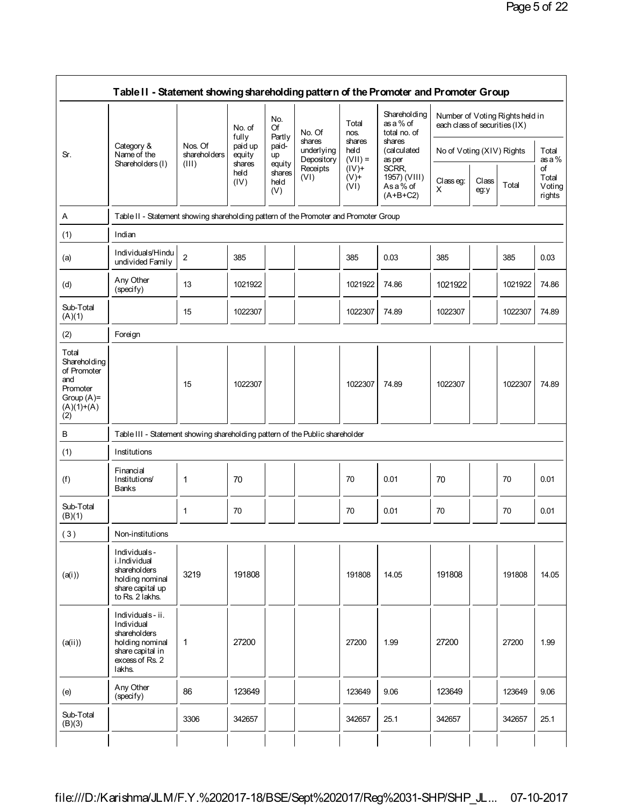|                                                                                                  |                                                                                                                   | Nos. Of<br>shareholders<br>Shareholders (I)<br>(III) | No. of<br>fully<br>paid up<br>equity | No.<br>Of<br>Partly             | No. Of<br>shares         | Total<br>nos.<br>shares     | Shareholding<br>as a % of<br>total no. of<br>shares | each class of securities (IX) |               | Number of Voting Rightsheld in |                                 |
|--------------------------------------------------------------------------------------------------|-------------------------------------------------------------------------------------------------------------------|------------------------------------------------------|--------------------------------------|---------------------------------|--------------------------|-----------------------------|-----------------------------------------------------|-------------------------------|---------------|--------------------------------|---------------------------------|
| Sr.                                                                                              | Category &<br>Name of the                                                                                         |                                                      |                                      | paid-<br>up                     | underlying<br>Depository | held<br>$(VII) =$           | (calculated<br>as per                               | No of Voting (XIV) Rights     |               | Total<br>as a $%$              |                                 |
|                                                                                                  |                                                                                                                   |                                                      | shares<br>held<br>(IV)               | equity<br>shares<br>held<br>(V) | Receipts<br>(VI)         | $(IV)$ +<br>$(V)$ +<br>(VI) | SCRR,<br>1957) (VIII)<br>As a % of<br>$(A+B+C2)$    | Classeg:<br>X                 | Class<br>eg:y | Total                          | of<br>Total<br>Voting<br>rights |
| A                                                                                                | Table II - Statement showing shareholding pattern of the Promoter and Promoter Group                              |                                                      |                                      |                                 |                          |                             |                                                     |                               |               |                                |                                 |
| (1)                                                                                              | Indian                                                                                                            |                                                      |                                      |                                 |                          |                             |                                                     |                               |               |                                |                                 |
| (a)                                                                                              | Individuals/Hindu<br>undivided Family                                                                             | $\overline{2}$                                       | 385                                  |                                 |                          | 385                         | 0.03                                                | 385                           |               | 385                            | 0.03                            |
| (d)                                                                                              | Any Other<br>(specify)                                                                                            | 13                                                   | 1021922                              |                                 |                          | 1021922                     | 74.86                                               | 1021922                       |               | 1021922                        | 74.86                           |
| Sub-Total<br>(A)(1)                                                                              |                                                                                                                   | 15                                                   | 1022307                              |                                 |                          | 1022307                     | 74.89                                               | 1022307                       |               | 1022307                        | 74.89                           |
| (2)                                                                                              | Foreign                                                                                                           |                                                      |                                      |                                 |                          |                             |                                                     |                               |               |                                |                                 |
| Total<br>Sharehol ding<br>of Promoter<br>and<br>Promoter<br>Group $(A)$ =<br>$(A)(1)+(A)$<br>(2) |                                                                                                                   | 15                                                   | 1022307                              |                                 |                          | 1022307                     | 74.89                                               | 1022307                       |               | 1022307                        | 74.89                           |
| B                                                                                                | Table III - Statement showing shareholding pattern of the Public shareholder                                      |                                                      |                                      |                                 |                          |                             |                                                     |                               |               |                                |                                 |
| (1)                                                                                              | Institutions                                                                                                      |                                                      |                                      |                                 |                          |                             |                                                     |                               |               |                                |                                 |
| (f)                                                                                              | Financial<br>Institutions/<br><b>Banks</b>                                                                        | 1                                                    | 70                                   |                                 |                          | 70                          | 0.01                                                | 70                            |               | 70                             | 0.01                            |
| Sub-Total<br>(B)(1)                                                                              |                                                                                                                   | 1                                                    | 70                                   |                                 |                          | 70                          | 0.01                                                | 70                            |               | 70                             | 0.01                            |
| (3)                                                                                              | Non-institutions                                                                                                  |                                                      |                                      |                                 |                          |                             |                                                     |                               |               |                                |                                 |
| (a(i))                                                                                           | Individuals-<br>i.Individual<br>shareholders<br>holding nominal<br>share capital up<br>to Rs. 2 lakhs.            | 3219                                                 | 191808                               |                                 |                          | 191808                      | 14.05                                               | 191808                        |               | 191808                         | 14.05                           |
| (a(ii))                                                                                          | Individuals-ii.<br>Individual<br>shareholders<br>holding nominal<br>share capital in<br>excess of Rs. 2<br>lakhs. | 1                                                    | 27200                                |                                 |                          | 27200                       | 1.99                                                | 27200                         |               | 27200                          | 1.99                            |
| (e)                                                                                              | Any Other<br>(specify)                                                                                            | 86                                                   | 123649                               |                                 |                          | 123649                      | 9.06                                                | 123649                        |               | 123649                         | 9.06                            |
| Sub-Total<br>(B)(3)                                                                              |                                                                                                                   | 3306                                                 | 342657                               |                                 |                          | 342657                      | 25.1                                                | 342657                        |               | 342657                         | 25.1                            |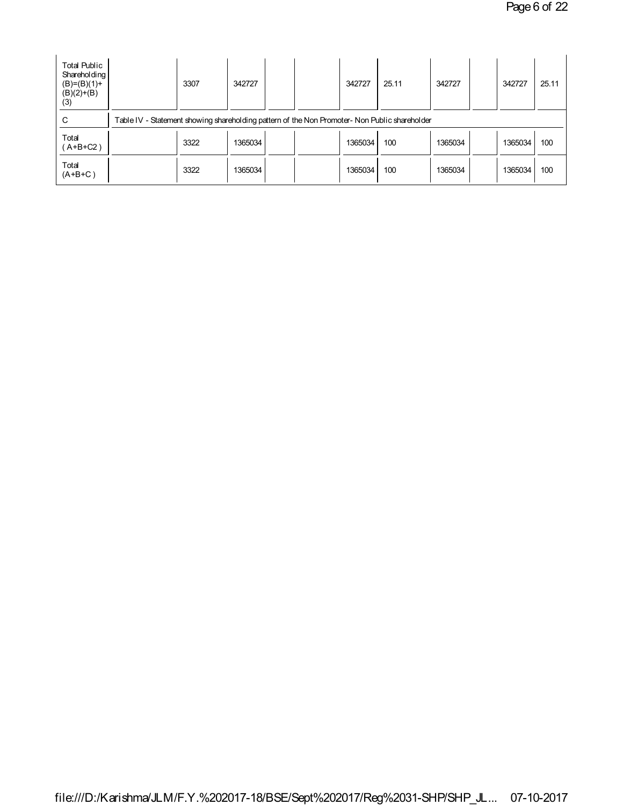| <b>Total Public</b><br>Shareholding<br>$(B)=(B)(1)+$<br>$(B)(2)+(B)$<br>(3) | 3307                                                                                          | 342727  |  |  | 342727  | 25.11 | 342727  |  | 342727  | 25.11 |
|-----------------------------------------------------------------------------|-----------------------------------------------------------------------------------------------|---------|--|--|---------|-------|---------|--|---------|-------|
| С                                                                           | Table IV - Statement showing shareholding pattern of the Non Promoter- Non Public shareholder |         |  |  |         |       |         |  |         |       |
| Total<br>$(A+B+C2)$                                                         | 3322                                                                                          | 1365034 |  |  | 1365034 | 100   | 1365034 |  | 1365034 | 100   |
| Total<br>$(A+B+C)$                                                          | 3322                                                                                          | 1365034 |  |  | 1365034 | 100   | 1365034 |  | 1365034 | 100   |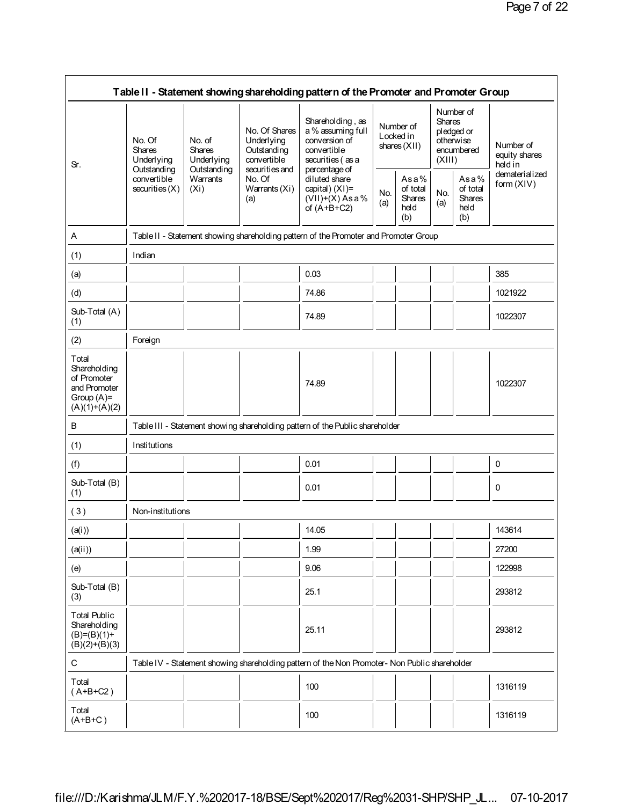|                                                                                          |                                                                                         |            |                                                                             | Table II - Statement showing shareholding pattern of the Promoter and Promoter Group                       |            |                                                  |            |                                                                               |                                      |
|------------------------------------------------------------------------------------------|-----------------------------------------------------------------------------------------|------------|-----------------------------------------------------------------------------|------------------------------------------------------------------------------------------------------------|------------|--------------------------------------------------|------------|-------------------------------------------------------------------------------|--------------------------------------|
| Sr.                                                                                      | No. Of<br>No. of<br>Shares<br><b>Shares</b><br>Underlying<br>Outstanding<br>Outstanding | Underlying | No. Of Shares<br>Underlying<br>Outstanding<br>convertible<br>securities and | Shareholding, as<br>a % assuming full<br>conversion of<br>convertible<br>securities (as a<br>percentage of |            | Number of<br>Locked in<br>shares $(XII)$         |            | Number of<br><b>Shares</b><br>pledged or<br>otherwise<br>encumbered<br>(XIII) | Number of<br>equity shares<br>heldin |
|                                                                                          | convertible<br>Warrants<br>securities(X)<br>(X <sub>i</sub> )                           |            | No. Of<br>Warrants (Xi)<br>(a)                                              | diluted share<br>capital) (XI)=<br>$(VII)+(X)$ Asa%<br>of $(A+B+C2)$                                       | No.<br>(a) | Asa%<br>of total<br><b>Shares</b><br>held<br>(b) | No.<br>(a) | Asa%<br>of total<br><b>Shares</b><br>held<br>(b)                              | dematerialized<br>form (XIV)         |
| Α                                                                                        |                                                                                         |            |                                                                             | Table II - Statement showing shareholding pattern of the Promoter and Promoter Group                       |            |                                                  |            |                                                                               |                                      |
| (1)                                                                                      | Indian                                                                                  |            |                                                                             |                                                                                                            |            |                                                  |            |                                                                               |                                      |
| (a)                                                                                      |                                                                                         |            |                                                                             | 0.03                                                                                                       |            |                                                  |            |                                                                               | 385                                  |
| (d)                                                                                      |                                                                                         |            |                                                                             | 74.86                                                                                                      |            |                                                  |            |                                                                               | 1021922                              |
| Sub-Total (A)<br>(1)                                                                     |                                                                                         |            |                                                                             | 74.89                                                                                                      |            |                                                  |            |                                                                               | 1022307                              |
| (2)                                                                                      | Foreign                                                                                 |            |                                                                             |                                                                                                            |            |                                                  |            |                                                                               |                                      |
| Total<br>Shareholding<br>of Promoter<br>and Promoter<br>Group $(A)$ =<br>$(A)(1)+(A)(2)$ |                                                                                         |            |                                                                             | 74.89                                                                                                      |            |                                                  |            |                                                                               | 1022307                              |
| В                                                                                        |                                                                                         |            |                                                                             | Table III - Statement showing shareholding pattern of the Public shareholder                               |            |                                                  |            |                                                                               |                                      |
| (1)                                                                                      | Institutions                                                                            |            |                                                                             |                                                                                                            |            |                                                  |            |                                                                               |                                      |
| (f)                                                                                      |                                                                                         |            |                                                                             | 0.01                                                                                                       |            |                                                  |            |                                                                               | 0                                    |
| Sub-Total (B)<br>(1)                                                                     |                                                                                         |            |                                                                             | 0.01                                                                                                       |            |                                                  |            |                                                                               | 0                                    |
| (3)                                                                                      | Non-institutions                                                                        |            |                                                                             |                                                                                                            |            |                                                  |            |                                                                               |                                      |
| (a(i))                                                                                   |                                                                                         |            |                                                                             | 14.05                                                                                                      |            |                                                  |            |                                                                               | 143614                               |
| (a(ii))                                                                                  |                                                                                         |            |                                                                             | 1.99                                                                                                       |            |                                                  |            |                                                                               | 27200                                |
| (e)                                                                                      |                                                                                         |            |                                                                             | 9.06                                                                                                       |            |                                                  |            |                                                                               | 122998                               |
| Sub-Total (B)<br>(3)                                                                     |                                                                                         |            |                                                                             | 25.1                                                                                                       |            |                                                  |            |                                                                               | 293812                               |
| <b>Total Public</b><br>Shareholding<br>$(B)=(B)(1)+$<br>$(B)(2)+(B)(3)$                  |                                                                                         |            |                                                                             | 25.11                                                                                                      |            |                                                  |            |                                                                               | 293812                               |
| С                                                                                        |                                                                                         |            |                                                                             | Table IV - Statement showing shareholding pattern of the Non Promoter- Non Public shareholder              |            |                                                  |            |                                                                               |                                      |
| Total<br>$(A+B+C2)$                                                                      |                                                                                         |            |                                                                             | 100                                                                                                        |            |                                                  |            |                                                                               | 1316119                              |
| Total<br>$(A+B+C)$                                                                       |                                                                                         |            |                                                                             | 100                                                                                                        |            |                                                  |            |                                                                               | 1316119                              |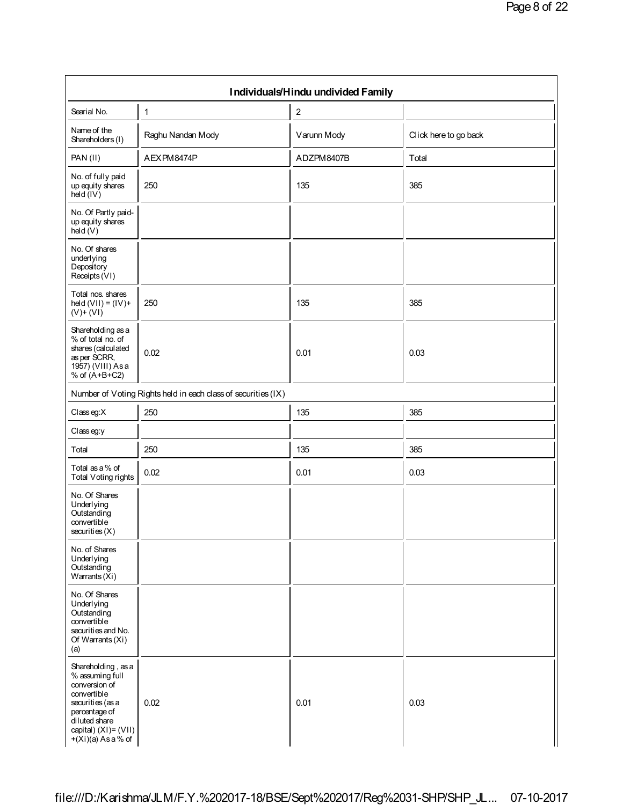|                                                                                                                                                                             |                                                               | Individuals/Hindu undivided Family |                       |
|-----------------------------------------------------------------------------------------------------------------------------------------------------------------------------|---------------------------------------------------------------|------------------------------------|-----------------------|
| Searial No.                                                                                                                                                                 | 1                                                             | $\boldsymbol{2}$                   |                       |
| Name of the<br>Shareholders (I)                                                                                                                                             | Raghu Nandan Mody                                             | Varunn Mody                        | Click here to go back |
| PAN(II)                                                                                                                                                                     | AEXPM8474P                                                    | ADZPM8407B                         | Total                 |
| No. of fully paid<br>up equity shares<br>hed (IV)                                                                                                                           | 250                                                           | 135                                | 385                   |
| No. Of Partly paid-<br>up equity shares<br>held (V)                                                                                                                         |                                                               |                                    |                       |
| No. Of shares<br>underlying<br>Depository<br>Receipts (VI)                                                                                                                  |                                                               |                                    |                       |
| Total nos. shares<br>held $(VII) = (IV) +$<br>$(V)$ + $(VI)$                                                                                                                | 250                                                           | 135                                | 385                   |
| Shareholding as a<br>% of total no. of<br>shares (calculated<br>as per SCRR,<br>1957) (VIII) As a<br>% of $(A+B+C2)$                                                        | 0.02                                                          | 0.01                               | 0.03                  |
|                                                                                                                                                                             | Number of Voting Rights held in each class of securities (IX) |                                    |                       |
| $Class$ eg: $X$                                                                                                                                                             | 250                                                           | 135                                | 385                   |
| Classeg:y                                                                                                                                                                   |                                                               |                                    |                       |
| Total                                                                                                                                                                       | 250                                                           | 135                                | 385                   |
| Total as a % of<br><b>Total Voting rights</b>                                                                                                                               | 0.02                                                          | 0.01                               | 0.03                  |
| No. Of Shares<br>Underlying<br>Outstanding<br>convertible<br>securities (X)                                                                                                 |                                                               |                                    |                       |
| No. of Shares<br>Underlying<br>Outstanding<br>Warrants $(Xi)$                                                                                                               |                                                               |                                    |                       |
| No. Of Shares<br>Underlying<br>Outstanding<br>convertible<br>securities and No.<br>Of Warrants (Xi)<br>(a)                                                                  |                                                               |                                    |                       |
| Shareholding, as a<br>% assuming full<br>conversion of<br>convertible<br>securities (as a<br>percentage of<br>diluted share<br>capital) (XI)= (VII)<br>$+(Xi)(a) As a % of$ | 0.02                                                          | 0.01                               | 0.03                  |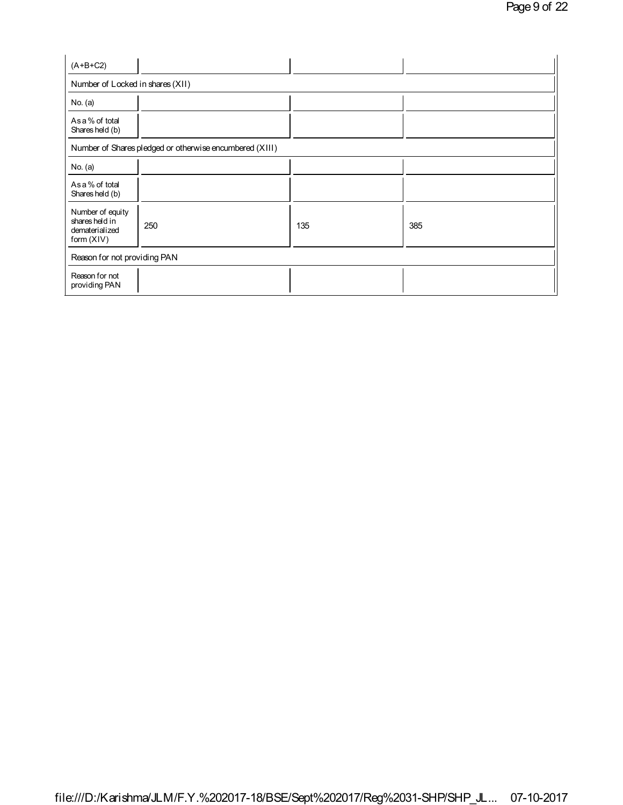| $(A+B+C2)$                                                           |                                                         |     |     |
|----------------------------------------------------------------------|---------------------------------------------------------|-----|-----|
| Number of Locked in shares (XII)                                     |                                                         |     |     |
| No. $(a)$                                                            |                                                         |     |     |
| As a % of total<br>Shares held (b)                                   |                                                         |     |     |
|                                                                      | Number of Shares pledged or otherwise encumbered (XIII) |     |     |
| No. (a)                                                              |                                                         |     |     |
| As a % of total<br>Shares held (b)                                   |                                                         |     |     |
| Number of equity<br>shares held in<br>dematerialized<br>form $(XIV)$ | 250                                                     | 135 | 385 |
| Reason for not providing PAN                                         |                                                         |     |     |
| Reason for not<br>providing PAN                                      |                                                         |     |     |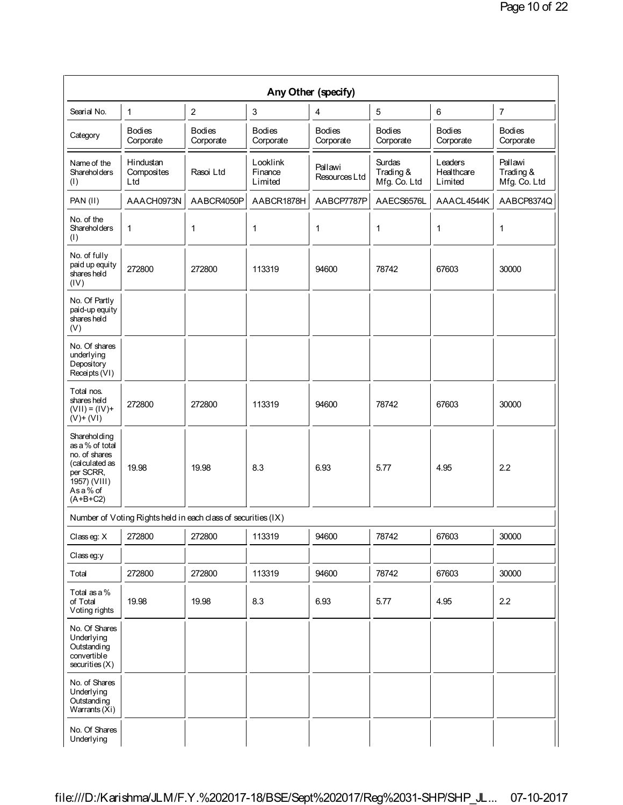|                                                                                                                          |                                                               |                            |                                | Any Other (specify)        |                                     |                                  |                                      |
|--------------------------------------------------------------------------------------------------------------------------|---------------------------------------------------------------|----------------------------|--------------------------------|----------------------------|-------------------------------------|----------------------------------|--------------------------------------|
| Searial No.                                                                                                              | 1                                                             | $\mathbf{2}$               | 3                              | 4                          | 5                                   | 6                                | $\overline{7}$                       |
| Category                                                                                                                 | <b>Bodies</b><br>Corporate                                    | <b>Bodies</b><br>Corporate | <b>Bodies</b><br>Corporate     | <b>Bodies</b><br>Corporate | <b>Bodies</b><br>Corporate          | <b>Bodies</b><br>Corporate       | <b>Bodies</b><br>Corporate           |
| Name of the<br><b>Shareholders</b><br>(1)                                                                                | Hindustan<br>Composites<br>Ltd                                | Rasoi Ltd                  | Looklink<br>Finance<br>Limited | Pallawi<br>Resources Ltd   | Surdas<br>Trading &<br>Mfg. Co. Ltd | Leaders<br>Healthcare<br>Limited | Pallawi<br>Trading &<br>Mfg. Co. Ltd |
| PAN (II)                                                                                                                 | AAACH0973N                                                    | AABCR4050P                 | AABCR1878H                     | AABCP7787P                 | AAECS6576L                          | AAACL4544K                       | AABCP8374Q                           |
| No. of the<br><b>Shareholders</b><br>(1)                                                                                 | 1                                                             | 1                          | 1                              | 1                          | 1                                   | 1                                | 1                                    |
| No. of fully<br>paid up equity<br>shares held<br>(IV)                                                                    | 272800                                                        | 272800                     | 113319                         | 94600                      | 78742                               | 67603                            | 30000                                |
| No. Of Partly<br>paid-up equity<br>shares held<br>(V)                                                                    |                                                               |                            |                                |                            |                                     |                                  |                                      |
| No. Of shares<br>underlying<br>Depository<br>Receipts (VI)                                                               |                                                               |                            |                                |                            |                                     |                                  |                                      |
| Total nos.<br>shares held<br>$(VII) = (IV) +$<br>$(V)$ + $(VI)$                                                          | 272800                                                        | 272800                     | 113319                         | 94600                      | 78742                               | 67603                            | 30000                                |
| Shareholding<br>as a % of total<br>no. of shares<br>(calculated as<br>per SCRR,<br>1957) (VIII)<br>Asa% of<br>$(A+B+C2)$ | 19.98                                                         | 19.98                      | 8.3                            | 6.93                       | 5.77                                | 4.95                             | 2.2                                  |
|                                                                                                                          | Number of Voting Rights held in each class of securities (IX) |                            |                                |                            |                                     |                                  |                                      |
| Classeg: X                                                                                                               | 272800                                                        | 272800                     | 113319                         | 94600                      | 78742                               | 67603                            | 30000                                |
| Class eg:y                                                                                                               |                                                               |                            |                                |                            |                                     |                                  |                                      |
| Total                                                                                                                    | 272800                                                        | 272800                     | 113319                         | 94600                      | 78742                               | 67603                            | 30000                                |
| Total as a %<br>of Total<br>Voting rights                                                                                | 19.98                                                         | 19.98                      | 8.3                            | 6.93                       | 5.77                                | 4.95                             | 2.2                                  |
| No. Of Shares<br>Underlying<br>Outstanding<br>convertible<br>securities(X)                                               |                                                               |                            |                                |                            |                                     |                                  |                                      |
| No. of Shares<br>Underlying<br>Outstanding<br>Warrants $(Xi)$                                                            |                                                               |                            |                                |                            |                                     |                                  |                                      |
| No. Of Shares<br>Underlying                                                                                              |                                                               |                            |                                |                            |                                     |                                  |                                      |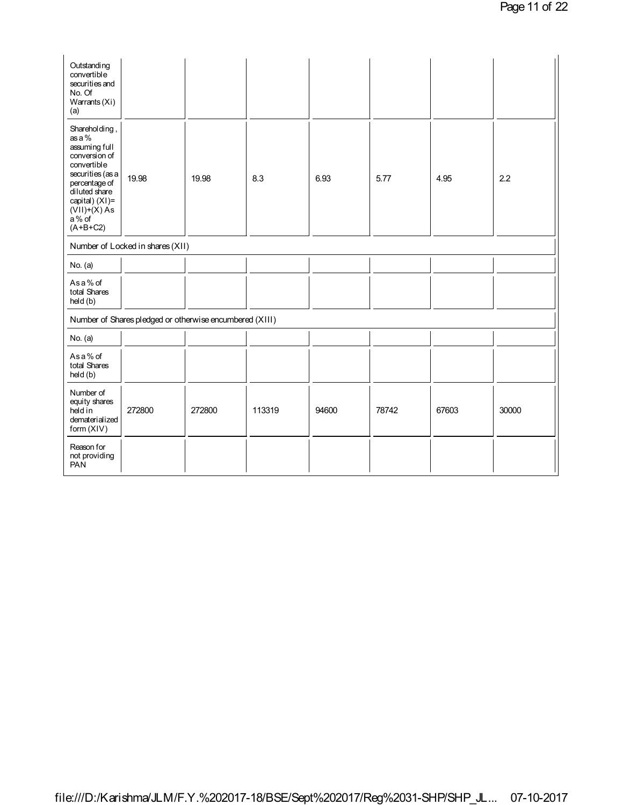| Outstanding<br>convertible<br>securities and<br>No. Of<br>Warrants (Xi)<br>(a)                                                                                                               |                                                         |        |        |       |       |       |       |
|----------------------------------------------------------------------------------------------------------------------------------------------------------------------------------------------|---------------------------------------------------------|--------|--------|-------|-------|-------|-------|
| Shareholding,<br>as a %<br>assuming full<br>conversion of<br>convertible<br>securities (as a<br>percentage of<br>diluted share<br>capital) (XI)=<br>$(VII)+(X)$ As<br>$a\%$ of<br>$(A+B+C2)$ | 19.98                                                   | 19.98  | 8.3    | 6.93  | 5.77  | 4.95  | 2.2   |
|                                                                                                                                                                                              | Number of Locked in shares (XII)                        |        |        |       |       |       |       |
| No. (a)                                                                                                                                                                                      |                                                         |        |        |       |       |       |       |
| Asa% of<br>total Shares<br>held (b)                                                                                                                                                          |                                                         |        |        |       |       |       |       |
|                                                                                                                                                                                              | Number of Shares pledged or otherwise encumbered (XIII) |        |        |       |       |       |       |
| No. (a)                                                                                                                                                                                      |                                                         |        |        |       |       |       |       |
| Asa% of<br>total Shares<br>held (b)                                                                                                                                                          |                                                         |        |        |       |       |       |       |
| Number of<br>equity shares<br>held in<br>dematerialized<br>form (XIV)                                                                                                                        | 272800                                                  | 272800 | 113319 | 94600 | 78742 | 67603 | 30000 |
| Reason for<br>not providing<br><b>PAN</b>                                                                                                                                                    |                                                         |        |        |       |       |       |       |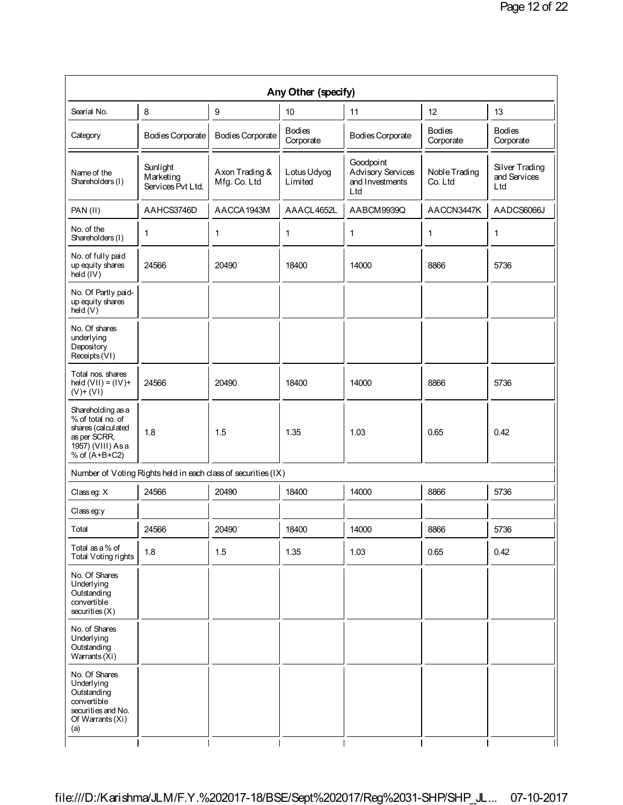|                                                                                                                    |                                                               |                                | Any Other (specify)        |                                                          |                            |                                       |
|--------------------------------------------------------------------------------------------------------------------|---------------------------------------------------------------|--------------------------------|----------------------------|----------------------------------------------------------|----------------------------|---------------------------------------|
| Searial No.                                                                                                        | 8                                                             | 9                              | 10                         | 11                                                       | 12                         | 13                                    |
| Category                                                                                                           | Bodies Corporate                                              | <b>Bodies Corporate</b>        | <b>Bodies</b><br>Corporate | <b>Bodies Corporate</b>                                  | <b>Bodies</b><br>Corporate | <b>Bodies</b><br>Corporate            |
| Name of the<br>Shareholders (I)                                                                                    | Sunlight<br>Marketing<br>Services Pvt Ltd.                    | Axon Trading &<br>Mfg. Co. Ltd | Lotus Udyog<br>Limited     | Goodpoint<br>Advisory Services<br>and Investments<br>Ltd | Noble Trading<br>Co. Ltd   | Silver Trading<br>and Services<br>Ltd |
| PAN(II)                                                                                                            | AAHCS3746D                                                    | AACCA1943M                     | AAACL4652L                 | AABCM9939Q                                               | AACCN3447K                 | AADCS6066J                            |
| No. of the<br>Shareholders (I)                                                                                     | 1                                                             | 1                              | 1                          | 1                                                        | 1                          | 1                                     |
| No. of fully paid<br>up equity shares<br>held (IV)                                                                 | 24566                                                         | 20490                          | 18400                      | 14000                                                    | 8866                       | 5736                                  |
| No. Of Partly paid-<br>up equity shares<br>hed(V)                                                                  |                                                               |                                |                            |                                                          |                            |                                       |
| No. Of shares<br>underlying<br>Depository<br>Receipts (VI)                                                         |                                                               |                                |                            |                                                          |                            |                                       |
| Total nos. shares<br>held $(VII) = (IV) +$<br>$(V)$ + $(VI)$                                                       | 24566                                                         | 20490                          | 18400                      | 14000                                                    | 8866                       | 5736                                  |
| Shareholding as a<br>% of total no. of<br>shares (calculated<br>as per SCRR,<br>1957) (VIII) As a<br>% of (A+B+C2) | 1.8                                                           | 1.5                            | 1.35                       | 1.03                                                     | 0.65                       | 0.42                                  |
|                                                                                                                    | Number of Voting Rights held in each class of securities (IX) |                                |                            |                                                          |                            |                                       |
| Classeg: X                                                                                                         | 24566                                                         | 20490                          | 18400                      | 14000                                                    | 8866                       | 5736                                  |
| Classeg:y                                                                                                          |                                                               |                                |                            |                                                          |                            |                                       |
| Total                                                                                                              | 24566                                                         | 20490                          | 18400                      | 14000                                                    | 8866                       | 5736                                  |
| Total as a % of<br><b>Total Voting rights</b>                                                                      | 1.8                                                           | 1.5                            | 1.35                       | 1.03                                                     | 0.65                       | 0.42                                  |
| No. Of Shares<br>Underlying<br>Outstanding<br>convertible<br>securities(X)                                         |                                                               |                                |                            |                                                          |                            |                                       |
| No. of Shares<br>Underlying<br>Outstanding<br>Warrants (Xi)                                                        |                                                               |                                |                            |                                                          |                            |                                       |
| No. Of Shares<br>Underlying<br>Outstanding<br>convertible<br>securities and No.<br>Of Warrants (Xi)<br>(a)         |                                                               |                                |                            |                                                          |                            |                                       |
|                                                                                                                    |                                                               |                                |                            |                                                          |                            |                                       |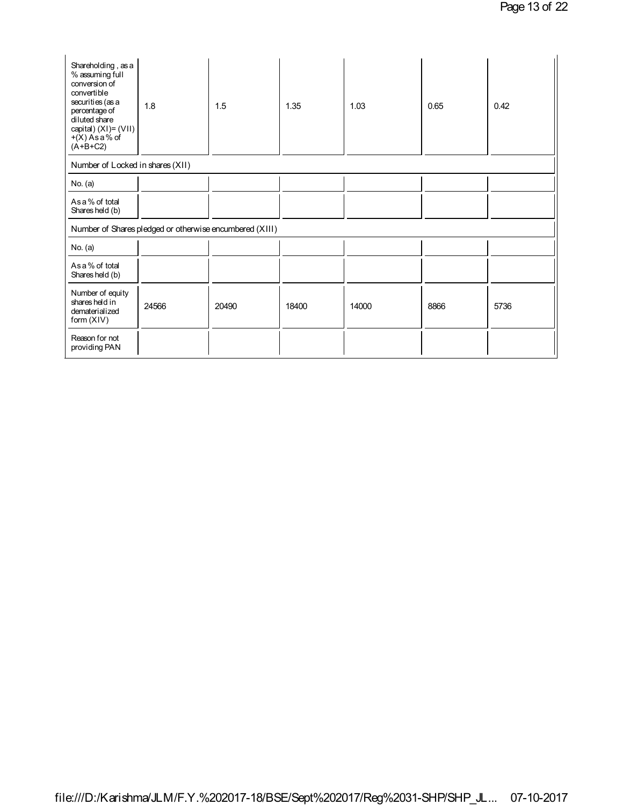| Shareholding, as a<br>% assuming full<br>conversion of<br>convertible<br>securities (as a<br>percentage of<br>diluted share<br>capital) $(XI) = (VII)$<br>$+(X)$ As a % of<br>$(A+B+C2)$ | 1.8                                                     | 1.5   | 1.35  | 1.03  | 0.65 | 0.42 |
|------------------------------------------------------------------------------------------------------------------------------------------------------------------------------------------|---------------------------------------------------------|-------|-------|-------|------|------|
| Number of Locked in shares (XII)                                                                                                                                                         |                                                         |       |       |       |      |      |
| No. $(a)$                                                                                                                                                                                |                                                         |       |       |       |      |      |
| As a % of total<br>Shares held (b)                                                                                                                                                       |                                                         |       |       |       |      |      |
|                                                                                                                                                                                          | Number of Shares pledged or otherwise encumbered (XIII) |       |       |       |      |      |
| No. (a)                                                                                                                                                                                  |                                                         |       |       |       |      |      |
| As a % of total<br>Shares held (b)                                                                                                                                                       |                                                         |       |       |       |      |      |
| Number of equity<br>shares held in<br>dematerialized<br>form $(XIV)$                                                                                                                     | 24566                                                   | 20490 | 18400 | 14000 | 8866 | 5736 |
| Reason for not<br>providing PAN                                                                                                                                                          |                                                         |       |       |       |      |      |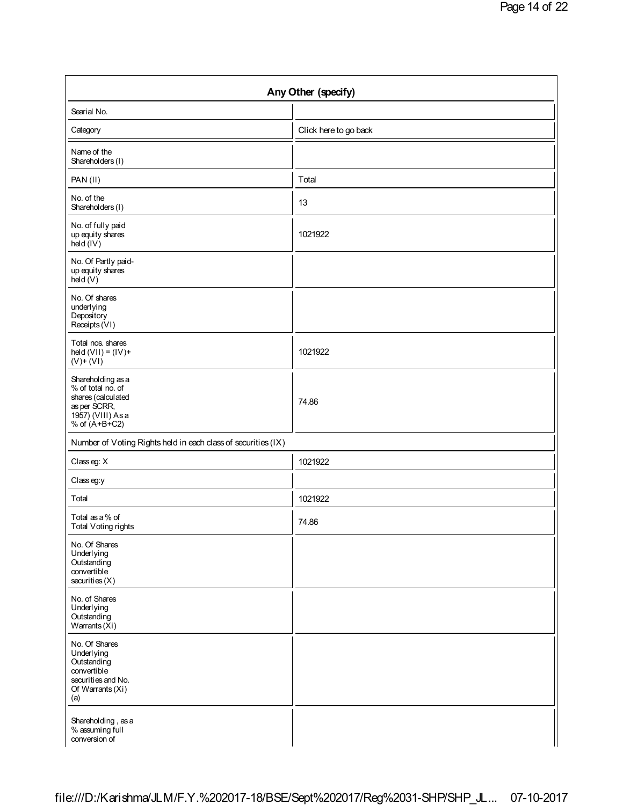| Any Other (specify)                                                                                                |                       |  |  |  |
|--------------------------------------------------------------------------------------------------------------------|-----------------------|--|--|--|
| Searial No.                                                                                                        |                       |  |  |  |
| Category                                                                                                           | Click here to go back |  |  |  |
| Name of the<br>Shareholders (I)                                                                                    |                       |  |  |  |
| PAN(II)                                                                                                            | Total                 |  |  |  |
| No. of the<br>Shareholders (I)                                                                                     | 13                    |  |  |  |
| No. of fully paid<br>up equity shares<br>hed (IV)                                                                  | 1021922               |  |  |  |
| No. Of Partly paid-<br>up equity shares<br>hed(V)                                                                  |                       |  |  |  |
| No. Of shares<br>underlying<br>Depository<br>Receipts (VI)                                                         |                       |  |  |  |
| Total nos. shares<br>held $(VII) = (IV) +$<br>$(V) + (VI)$                                                         | 1021922               |  |  |  |
| Shareholding as a<br>% of total no. of<br>shares (calculated<br>as per SCRR,<br>1957) (VIII) As a<br>% of (A+B+C2) | 74.86                 |  |  |  |
| Number of Voting Rights held in each class of securities (IX)                                                      |                       |  |  |  |
| Classeg: X                                                                                                         | 1021922               |  |  |  |
| Class eg:y                                                                                                         |                       |  |  |  |
| Total                                                                                                              | 1021922               |  |  |  |
| Total as a % of<br>Total Voting rights                                                                             | 74.86                 |  |  |  |
| No. Of Shares<br>Underlying<br>Outstanding<br>convertible<br>securities(X)                                         |                       |  |  |  |
| No. of Shares<br>Underlying<br>Outstanding<br>Warrants (Xi)                                                        |                       |  |  |  |
| No. Of Shares<br>Underlying<br>Outstanding<br>convertible<br>securities and No.<br>Of Warrants (Xi)<br>(a)         |                       |  |  |  |
| Shareholding, as a<br>% assuming full<br>conversion of                                                             |                       |  |  |  |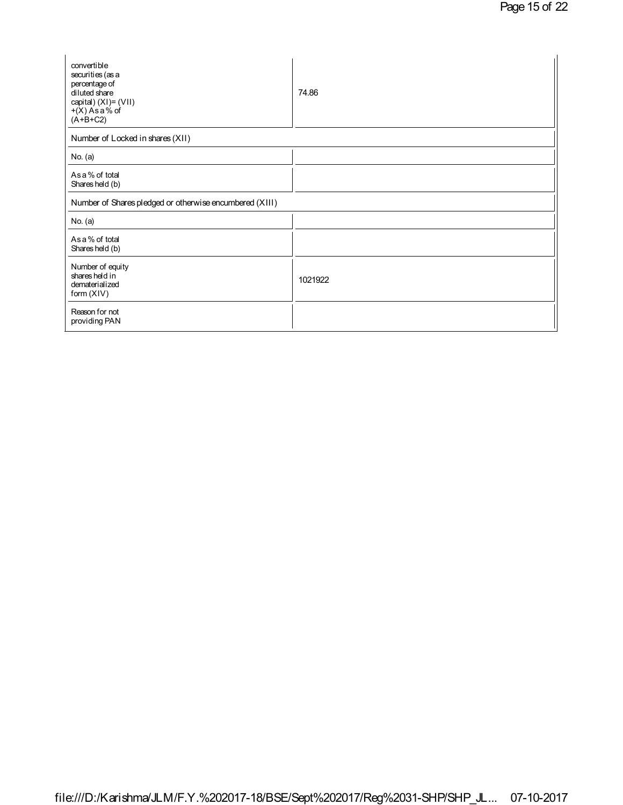| convertible<br>securities (as a<br>percentage of<br>diluted share<br>capital) (XI)= (VII)<br>$+(X)$ As a % of<br>$(A+B+C2)$ | 74.86   |
|-----------------------------------------------------------------------------------------------------------------------------|---------|
| Number of Locked in shares (XII)                                                                                            |         |
| No. $(a)$                                                                                                                   |         |
| As a % of total<br>Shares held (b)                                                                                          |         |
| Number of Shares pledged or otherwise encumbered (XIII)                                                                     |         |
| No. $(a)$                                                                                                                   |         |
| As a % of total<br>Shares held (b)                                                                                          |         |
| Number of equity<br>shares held in<br>dematerialized<br>form (XIV)                                                          | 1021922 |
| Reason for not<br>providing PAN                                                                                             |         |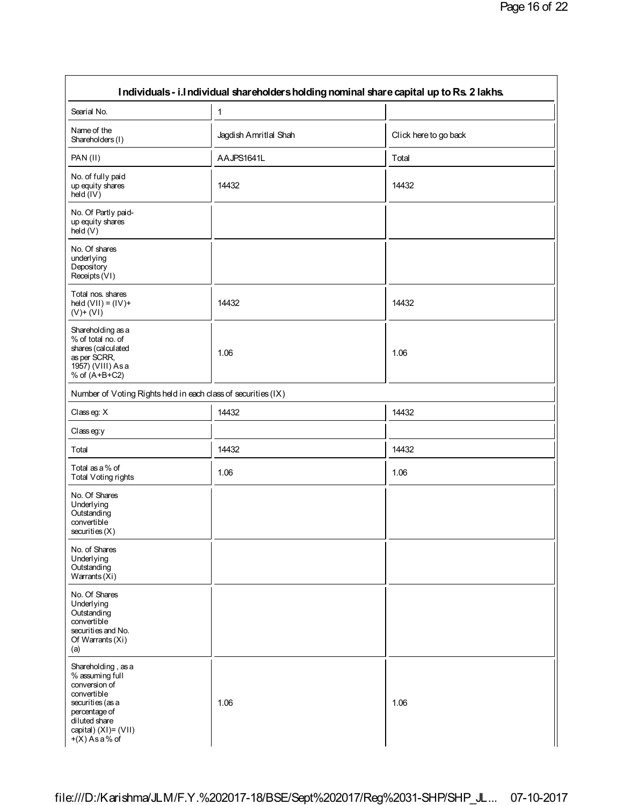| Individuals - i.l ndividual shareholders holding nominal share capital up to Rs. 2 lakhs.                                                                                  |                       |                       |  |  |  |
|----------------------------------------------------------------------------------------------------------------------------------------------------------------------------|-----------------------|-----------------------|--|--|--|
| Searial No.                                                                                                                                                                | 1                     |                       |  |  |  |
| Name of the<br>Shareholders (I)                                                                                                                                            | Jagdish Amritlal Shah | Click here to go back |  |  |  |
| PAN(II)                                                                                                                                                                    | AAJPS1641L            | Total                 |  |  |  |
| No. of fully paid<br>up equity shares<br>held (IV)                                                                                                                         | 14432                 | 14432                 |  |  |  |
| No. Of Partly paid-<br>up equity shares<br>held (V)                                                                                                                        |                       |                       |  |  |  |
| No. Of shares<br>underlying<br>Depository<br>Receipts (VI)                                                                                                                 |                       |                       |  |  |  |
| Total nos. shares<br>held $(VII) = (IV) +$<br>$(V)$ + $(VI)$                                                                                                               | 14432                 | 14432                 |  |  |  |
| Shareholding as a<br>% of total no. of<br>shares (calculated<br>as per SCRR,<br>1957) (VIII) As a<br>% of $(A+B+C2)$                                                       | 1.06                  | 1.06                  |  |  |  |
| Number of Voting Rights held in each class of securities (IX)                                                                                                              |                       |                       |  |  |  |
| Classeg: X                                                                                                                                                                 | 14432                 | 14432                 |  |  |  |
| Class eg:y                                                                                                                                                                 |                       |                       |  |  |  |
| Total                                                                                                                                                                      | 14432                 | 14432                 |  |  |  |
| Total as a % of<br>Total Voting rights                                                                                                                                     | 1.06                  | 1.06                  |  |  |  |
| No. Of Shares<br>Underlying<br>Outstanding<br>convertible<br>securities(X)                                                                                                 |                       |                       |  |  |  |
| No. of Shares<br>Underlying<br>Outstanding<br>Warrants $(Xi)$                                                                                                              |                       |                       |  |  |  |
| No. Of Shares<br>Underlying<br>Outstanding<br>convertible<br>securities and No.<br>Of Warrants (Xi)<br>(a)                                                                 |                       |                       |  |  |  |
| Shareholding, as a<br>% assuming full<br>conversion of<br>convertible<br>securities (as a<br>percentage of<br>diluted share<br>capital) $(XI) = (VII)$<br>$+(X)$ As a % of | 1.06                  | 1.06                  |  |  |  |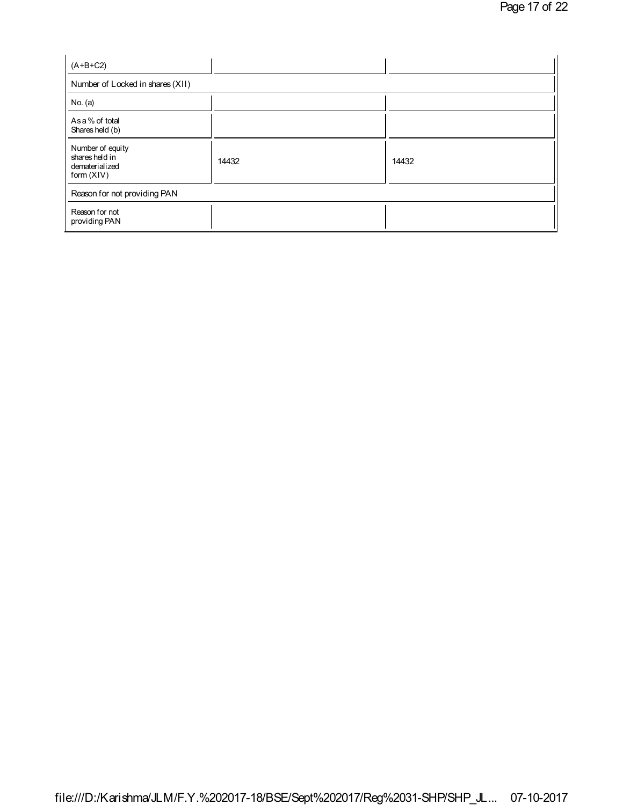| $(A+B+C2)$                                                         |       |       |  |  |  |  |  |
|--------------------------------------------------------------------|-------|-------|--|--|--|--|--|
| Number of Locked in shares (XII)                                   |       |       |  |  |  |  |  |
| No. $(a)$                                                          |       |       |  |  |  |  |  |
| As a % of total<br>Shares held (b)                                 |       |       |  |  |  |  |  |
| Number of equity<br>shares held in<br>dematerialized<br>form (XIV) | 14432 | 14432 |  |  |  |  |  |
| Reason for not providing PAN                                       |       |       |  |  |  |  |  |
| Reason for not<br>providing PAN                                    |       |       |  |  |  |  |  |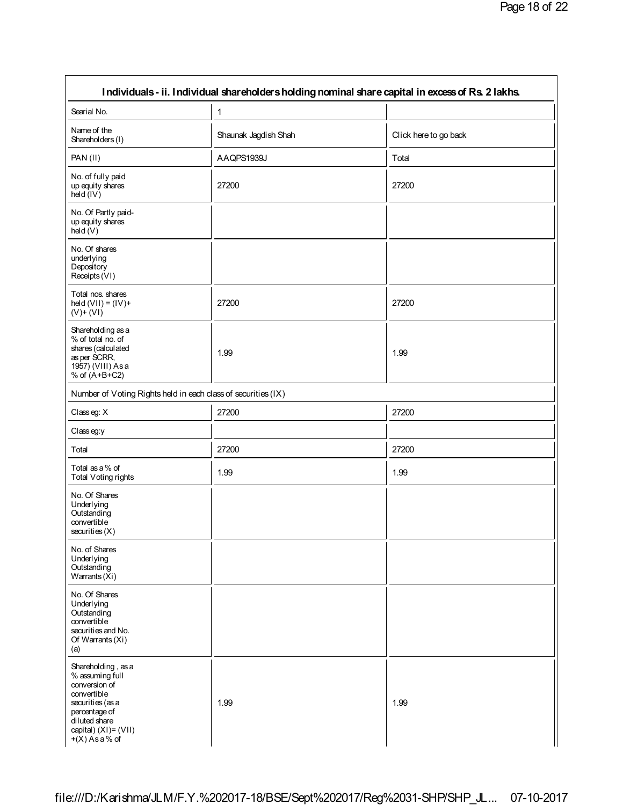| Individuals - ii. Individual shareholders holding nominal share capital in excess of Rs. 2 lakhs.                                                                       |                      |                       |  |  |  |
|-------------------------------------------------------------------------------------------------------------------------------------------------------------------------|----------------------|-----------------------|--|--|--|
| Searial No.                                                                                                                                                             | 1                    |                       |  |  |  |
| Name of the<br>Shareholders (I)                                                                                                                                         | Shaunak Jagdish Shah | Click here to go back |  |  |  |
| PAN(II)                                                                                                                                                                 | AAQPS1939J           | Total                 |  |  |  |
| No. of fully paid<br>up equity shares<br>held (IV)                                                                                                                      | 27200                | 27200                 |  |  |  |
| No. Of Partly paid-<br>up equity shares<br>held (V)                                                                                                                     |                      |                       |  |  |  |
| No. Of shares<br>underlying<br>Depository<br>Receipts (VI)                                                                                                              |                      |                       |  |  |  |
| Total nos. shares<br>held $(VII) = (IV) +$<br>$(V)$ + $(VI)$                                                                                                            | 27200                | 27200                 |  |  |  |
| Shareholding as a<br>% of total no. of<br>shares (calculated<br>as per SCRR,<br>1957) (VIII) As a<br>% of $(A+B+C2)$                                                    | 1.99                 | 1.99                  |  |  |  |
| Number of Voting Rights held in each class of securities (IX)                                                                                                           |                      |                       |  |  |  |
| Classeg: X                                                                                                                                                              | 27200                | 27200                 |  |  |  |
| Classeg:y                                                                                                                                                               |                      |                       |  |  |  |
| Total                                                                                                                                                                   | 27200                | 27200                 |  |  |  |
| Total as a % of<br><b>Total Voting rights</b>                                                                                                                           | 1.99                 | 1.99                  |  |  |  |
| No. Of Shares<br>Underlying<br>Outstanding<br>convertible<br>securities(X)                                                                                              |                      |                       |  |  |  |
| No. of Shares<br>Underlying<br>Outstanding<br>Warrants $(Xi)$                                                                                                           |                      |                       |  |  |  |
| No. Of Shares<br>Underlying<br>Outstanding<br>convertible<br>securities and No.<br>Of Warrants (Xi)<br>(a)                                                              |                      |                       |  |  |  |
| Shareholding, as a<br>% assuming full<br>conversion of<br>convertible<br>securities (as a<br>percentage of<br>diluted share<br>capital) (XI)= (VII)<br>$+(X)$ As a % of | 1.99                 | 1.99                  |  |  |  |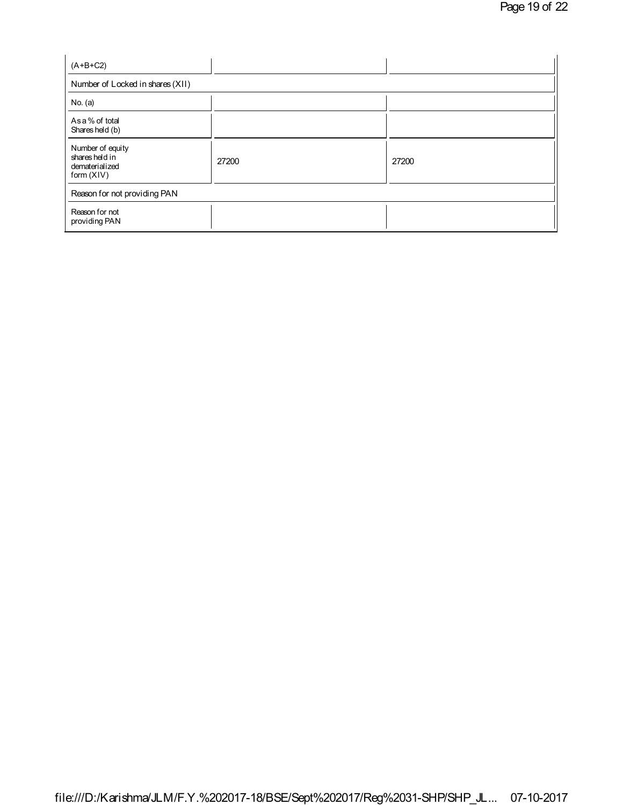| $(A+B+C2)$                                                         |       |       |  |  |  |  |
|--------------------------------------------------------------------|-------|-------|--|--|--|--|
| Number of Locked in shares (XII)                                   |       |       |  |  |  |  |
| No. (a)                                                            |       |       |  |  |  |  |
| As a % of total<br>Shares held (b)                                 |       |       |  |  |  |  |
| Number of equity<br>shares held in<br>dematerialized<br>form (XIV) | 27200 | 27200 |  |  |  |  |
| Reason for not providing PAN                                       |       |       |  |  |  |  |
| Reason for not<br>providing PAN                                    |       |       |  |  |  |  |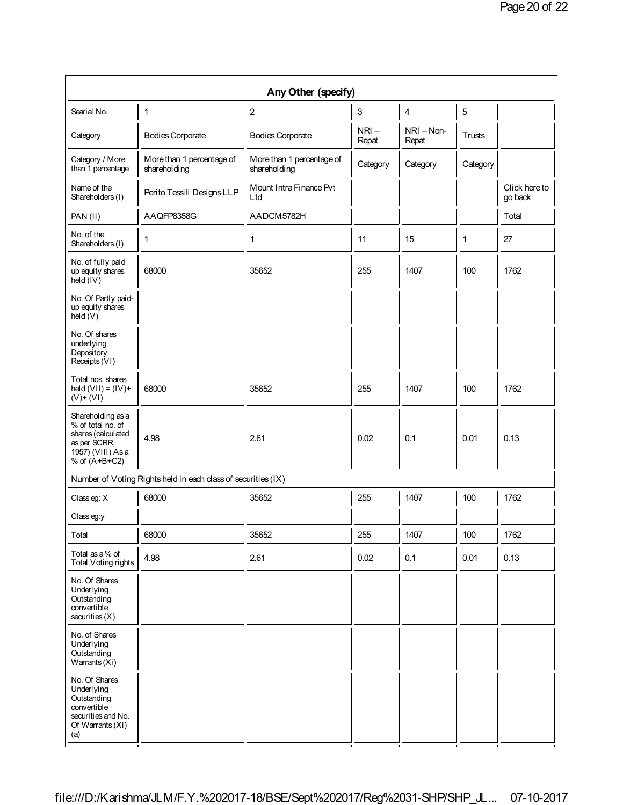| Any Other (specify)                                                                                                  |                                                               |                                           |                  |                       |              |                          |  |
|----------------------------------------------------------------------------------------------------------------------|---------------------------------------------------------------|-------------------------------------------|------------------|-----------------------|--------------|--------------------------|--|
| Searial No.                                                                                                          | 1                                                             | 2                                         | 3                | 4                     | 5            |                          |  |
| Category                                                                                                             | Bodies Corporate                                              | <b>Bodies Corporate</b>                   | $NRI -$<br>Repat | $NRI - Non-$<br>Repat | Trusts       |                          |  |
| Category / More<br>than 1 percentage                                                                                 | More than 1 percentage of<br>shareholding                     | More than 1 percentage of<br>shareholding | Category         | Category              | Category     |                          |  |
| Name of the<br>Shareholders (I)                                                                                      | Perito Tessili Designs LLP                                    | Mount Intra Finance Pvt<br>Ltd            |                  |                       |              | Click here to<br>go back |  |
| PAN(II)                                                                                                              | AAQFP8358G                                                    | AADCM5782H                                |                  |                       |              | Total                    |  |
| No. of the<br>Shareholders (I)                                                                                       | 1                                                             | 1                                         | 11               | 15                    | $\mathbf{1}$ | 27                       |  |
| No. of fully paid<br>up equity shares<br>held (IV)                                                                   | 68000                                                         | 35652                                     | 255              | 1407                  | 100          | 1762                     |  |
| No. Of Partly paid-<br>up equity shares<br>held(V)                                                                   |                                                               |                                           |                  |                       |              |                          |  |
| No. Of shares<br>underlying<br>Depository<br>Receipts (VI)                                                           |                                                               |                                           |                  |                       |              |                          |  |
| Total nos. shares<br>held $(VII) = (IV) +$<br>$(V)$ + $(VI)$                                                         | 68000                                                         | 35652                                     | 255              | 1407                  | 100          | 1762                     |  |
| Shareholding as a<br>% of total no. of<br>shares (calculated<br>as per SCRR,<br>1957) (VIII) As a<br>% of $(A+B+C2)$ | 4.98                                                          | 2.61                                      | 0.02             | 0.1                   | 0.01         | 0.13                     |  |
|                                                                                                                      | Number of Voting Rights held in each class of securities (IX) |                                           |                  |                       |              |                          |  |
| Classeg: X                                                                                                           | 68000                                                         | 35652                                     | 255              | 1407                  | 100          | 1762                     |  |
| Class eq: V                                                                                                          |                                                               |                                           |                  |                       |              |                          |  |
| Total                                                                                                                | 68000                                                         | 35652                                     | 255              | 1407                  | 100          | 1762                     |  |
| Total as a % of<br>Total Voting rights                                                                               | 4.98                                                          | 2.61                                      | 0.02             | 0.1                   | 0.01         | 0.13                     |  |
| No. Of Shares<br>Underlying<br>Outstanding<br>convertible<br>securities(X)                                           |                                                               |                                           |                  |                       |              |                          |  |
| No. of Shares<br>Underlying<br>Outstanding<br>Warrants $(Xi)$                                                        |                                                               |                                           |                  |                       |              |                          |  |
| No. Of Shares<br>Underlying<br>Outstanding<br>convertible<br>securities and No.<br>Of Warrants (Xi)<br>(a)           |                                                               |                                           |                  |                       |              |                          |  |
|                                                                                                                      |                                                               |                                           |                  |                       |              |                          |  |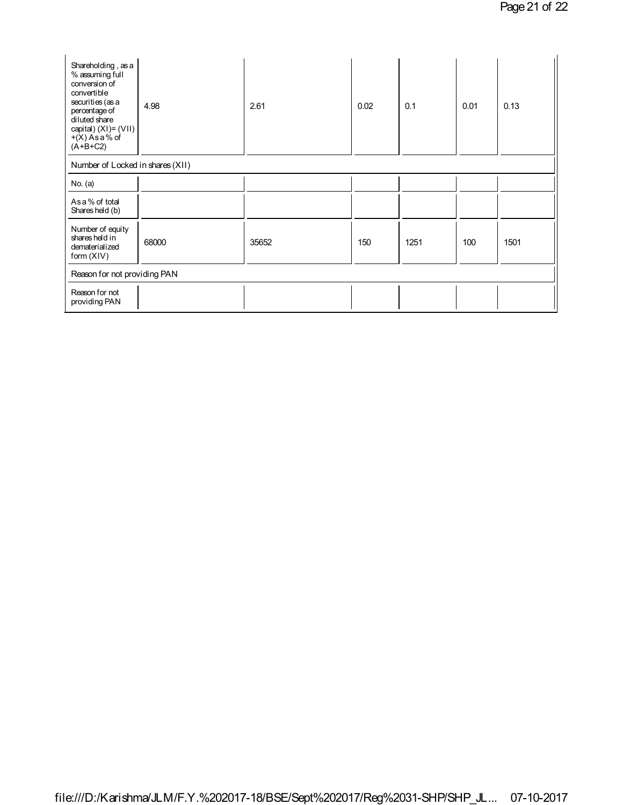| Shareholding, as a<br>% assuming full<br>conversion of<br>convertible<br>securities (as a<br>percentage of<br>diluted share<br>capital) $(XI) = (VII)$<br>$+(X)$ As a % of<br>$(A+B+C2)$ | 4.98  | 2.61  | 0.02 | 0.1  | 0.01 | 0.13 |
|------------------------------------------------------------------------------------------------------------------------------------------------------------------------------------------|-------|-------|------|------|------|------|
| Number of Locked in shares (XII)                                                                                                                                                         |       |       |      |      |      |      |
| No. $(a)$                                                                                                                                                                                |       |       |      |      |      |      |
| As a % of total<br>Shares held (b)                                                                                                                                                       |       |       |      |      |      |      |
| Number of equity<br>shares held in<br>dematerialized<br>form $(XIV)$                                                                                                                     | 68000 | 35652 | 150  | 1251 | 100  | 1501 |
| Reason for not providing PAN                                                                                                                                                             |       |       |      |      |      |      |
| Reason for not<br>providing PAN                                                                                                                                                          |       |       |      |      |      |      |